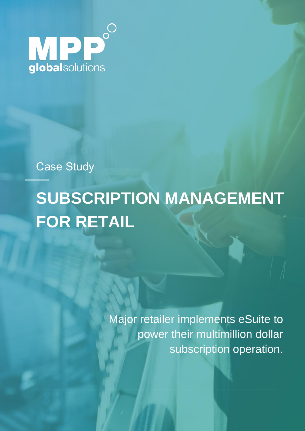

Case Study

# **SUBSCRIPTION MANAGEMENT FOR RETAIL**

Major retailer implements eSuite to power their multimillion dollar subscription operation.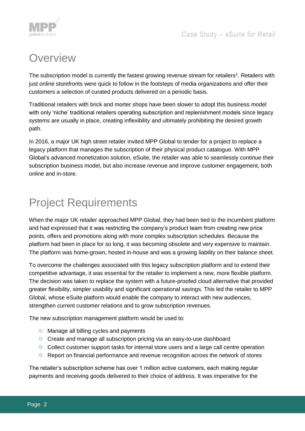



## **Overview**

The subscription model is currently the fastest growing revenue stream for retailers<sup>1</sup>. Retailers with just online storefronts were quick to follow in the footsteps of media organizations and offer their customers a selection of curated products delivered on a periodic basis.

Traditional retailers with brick and morter shops have been slower to adopt this business model with only 'niche' traditional retailers operating subscription and replenishment models since legacy systems are usually in place, creating inflexibility and ultimately prohibiting the desired growth path.

In 2016, a major UK high street retailer invited MPP Global to tender for a project to replace a legacy platform that manages the subscription of their physical product catalogue. With MPP Global's advanced monetization solution, eSuite, the retailer was able to seamlessly continue their subscription business model, but also increase revenue and improve customer engagement, both online and in-store.

## Project Requirements

When the major UK retailer approached MPP Global, they had been tied to the incumbent platform and had expressed that it was restricting the company's product team from creating new price points, offers and promotions along with more complex subscription schedules. Because the platform had been in place for so long, it was becoming obsolete and very expensive to maintain. The platform was home-grown, hosted in-house and was a growing liability on their balance sheet.

To overcome the challenges associated with this legacy subscription platform and to extend their competitive advantage, it was essential for the retailer to implement a new, more flexible platform. The decision was taken to replace the system with a future-proofed cloud alternative that provided greater flexibility, simpler usability and significant operational savings. This led the retailer to MPP Global, whose eSuite platform would enable the company to interact with new audiences, strengthen current customer relations and to grow subscription revenues.

The new subscription management platform would be used to:

- Manage all billing cycles and payments
- Create and manage all subscription pricing via an easy-to-use dashboard
- Collect customer support tasks for internal store users and a large call centre operation
- $\circ$ Report on financial performance and revenue recognition across the network of stores

The retailer's subscription scheme has over 1 million active customers, each making regular payments and receiving goods delivered to their choice of address. It was imperative for the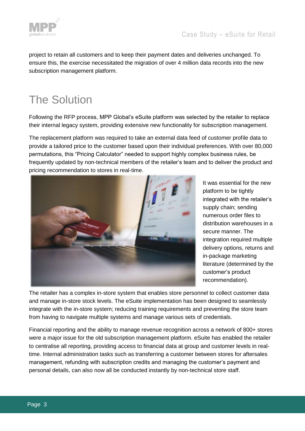

project to retain all customers and to keep their payment dates and deliveries unchanged. To ensure this, the exercise necessitated the migration of over 4 million data records into the new subscription management platform.

## The Solution

Following the RFP process, MPP Global's eSuite platform was selected by the retailer to replace their internal legacy system, providing extensive new functionality for subscription management.

The replacement platform was required to take an external data feed of customer profile data to provide a tailored price to the customer based upon their individual preferences. With over 80,000 permutations, this "Pricing Calculator" needed to support highly complex business rules, be frequently updated by non-technical members of the retailer's team and to deliver the product and pricing recommendation to stores in real-time.



It was essential for the new platform to be tightly integrated with the retailer's supply chain; sending numerous order files to distribution warehouses in a secure manner. The integration required multiple delivery options, returns and in-package marketing literature (determined by the customer's product recommendation).

The retailer has a complex in-store system that enables store personnel to collect customer data and manage in-store stock levels. The eSuite implementation has been designed to seamlessly integrate with the in-store system; reducing training requirements and preventing the store team from having to navigate multiple systems and manage various sets of credentials.

Financial reporting and the ability to manage revenue recognition across a network of 800+ stores were a major issue for the old subscription management platform. eSuite has enabled the retailer to centralise all reporting, providing access to financial data at group and customer levels in realtime. Internal administration tasks such as transferring a customer between stores for aftersales management, refunding with subscription credits and managing the customer's payment and personal details, can also now all be conducted instantly by non-technical store staff.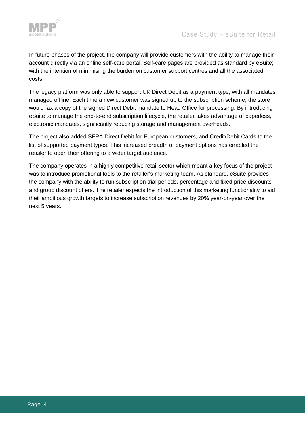

In future phases of the project, the company will provide customers with the ability to manage their account directly via an online self-care portal. Self-care pages are provided as standard by eSuite; with the intention of minimising the burden on customer support centres and all the associated costs.

The legacy platform was only able to support UK Direct Debit as a payment type, with all mandates managed offline. Each time a new customer was signed up to the subscription scheme, the store would fax a copy of the signed Direct Debit mandate to Head Office for processing. By introducing eSuite to manage the end-to-end subscription lifecycle, the retailer takes advantage of paperless, electronic mandates, significantly reducing storage and management overheads.

The project also added SEPA Direct Debit for European customers, and Credit/Debit Cards to the list of supported payment types. This increased breadth of payment options has enabled the retailer to open their offering to a wider target audience.

The company operates in a highly competitive retail sector which meant a key focus of the project was to introduce promotional tools to the retailer's marketing team. As standard, eSuite provides the company with the ability to run subscription trial periods, percentage and fixed price discounts and group discount offers. The retailer expects the introduction of this marketing functionality to aid their ambitious growth targets to increase subscription revenues by 20% year-on-year over the next 5 years.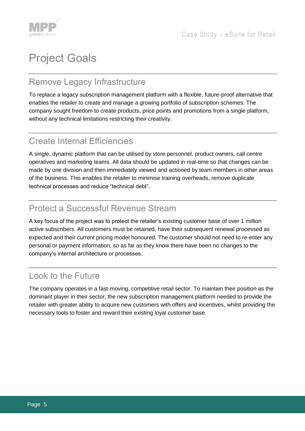

# Project Goals

#### Remove Legacy Infrastructure

To replace a legacy subscription management platform with a flexible, future-proof alternative that enables the retailer to create and manage a growing portfolio of subscription schemes. The company sought freedom to create products, price points and promotions from a single platform, without any technical limitations restricting their creativity.

#### Create Internal Efficiencies

A single, dynamic platform that can be utilised by store personnel, product owners, call centre operatives and marketing teams. All data should be updated in real-time so that changes can be made by one division and then immediately viewed and actioned by team members in other areas of the business. This enables the retailer to minimise training overheads, remove duplicate technical processes and reduce "technical debt".

#### Protect a Successful Revenue Stream

A key focus of the project was to protect the retailer's existing customer base of over 1 million active subscribers. All customers must be retained, have their subsequent renewal processed as expected and their current pricing model honoured. The customer should not need to re-enter any personal or payment information, so as far as they know there have been no changes to the company's internal architecture or processes.

#### Look to the Future

The company operates in a fast-moving, competitive retail sector. To maintain their position as the dominant player in their sector, the new subscription management platform needed to provide the retailer with greater ability to acquire new customers with offers and incentives, whilst providing the necessary tools to foster and reward their existing loyal customer base.